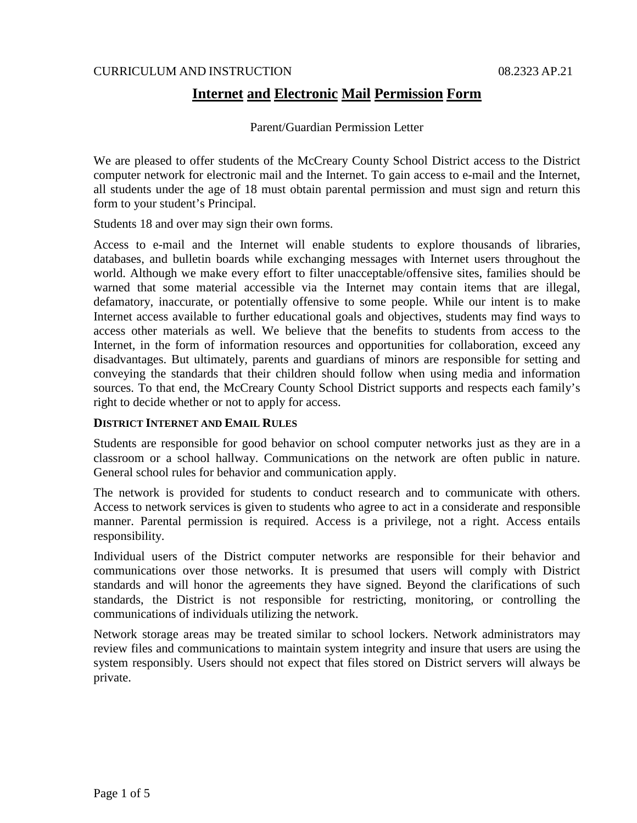## CURRICULUM AND INSTRUCTION 08.2323 AP.21

# **Internet and Electronic Mail Permission Form**

Parent/Guardian Permission Letter

We are pleased to offer students of the McCreary County School District access to the District computer network for electronic mail and the Internet. To gain access to e-mail and the Internet, all students under the age of 18 must obtain parental permission and must sign and return this form to your student's Principal.

Students 18 and over may sign their own forms.

Access to e-mail and the Internet will enable students to explore thousands of libraries, databases, and bulletin boards while exchanging messages with Internet users throughout the world. Although we make every effort to filter unacceptable/offensive sites, families should be warned that some material accessible via the Internet may contain items that are illegal, defamatory, inaccurate, or potentially offensive to some people. While our intent is to make Internet access available to further educational goals and objectives, students may find ways to access other materials as well. We believe that the benefits to students from access to the Internet, in the form of information resources and opportunities for collaboration, exceed any disadvantages. But ultimately, parents and guardians of minors are responsible for setting and conveying the standards that their children should follow when using media and information sources. To that end, the McCreary County School District supports and respects each family's right to decide whether or not to apply for access.

## **DISTRICT INTERNET AND EMAIL RULES**

Students are responsible for good behavior on school computer networks just as they are in a classroom or a school hallway. Communications on the network are often public in nature. General school rules for behavior and communication apply.

The network is provided for students to conduct research and to communicate with others. Access to network services is given to students who agree to act in a considerate and responsible manner. Parental permission is required. Access is a privilege, not a right. Access entails responsibility.

Individual users of the District computer networks are responsible for their behavior and communications over those networks. It is presumed that users will comply with District standards and will honor the agreements they have signed. Beyond the clarifications of such standards, the District is not responsible for restricting, monitoring, or controlling the communications of individuals utilizing the network.

Network storage areas may be treated similar to school lockers. Network administrators may review files and communications to maintain system integrity and insure that users are using the system responsibly. Users should not expect that files stored on District servers will always be private.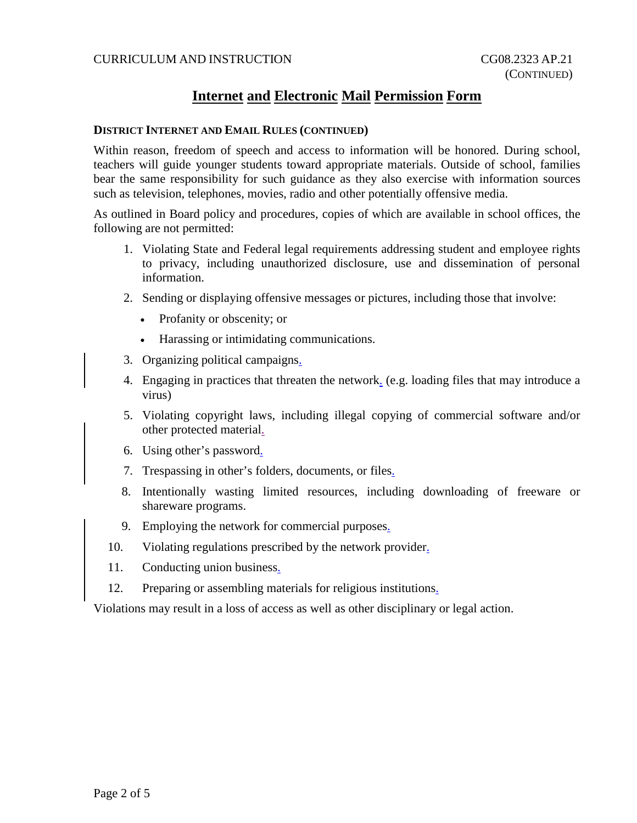# **Internet and Electronic Mail Permission Form**

#### **DISTRICT INTERNET AND EMAIL RULES (CONTINUED)**

Within reason, freedom of speech and access to information will be honored. During school, teachers will guide younger students toward appropriate materials. Outside of school, families bear the same responsibility for such guidance as they also exercise with information sources such as television, telephones, movies, radio and other potentially offensive media.

As outlined in Board policy and procedures, copies of which are available in school offices, the following are not permitted:

- 1. Violating State and Federal legal requirements addressing student and employee rights to privacy, including unauthorized disclosure, use and dissemination of personal information.
- 2. Sending or displaying offensive messages or pictures, including those that involve:
	- Profanity or obscenity; or
	- Harassing or intimidating communications.
- 3. Organizing political campaigns.
- 4. Engaging in practices that threaten the network. (e.g. loading files that may introduce a virus)
- 5. Violating copyright laws, including illegal copying of commercial software and/or other protected material.
- 6. Using other's password.
- 7. Trespassing in other's folders, documents, or files.
- 8. Intentionally wasting limited resources, including downloading of freeware or shareware programs.
- 9. Employing the network for commercial purposes.
- 10. Violating regulations prescribed by the network provider.
- 11. Conducting union business.
- 12. Preparing or assembling materials for religious institutions.

Violations may result in a loss of access as well as other disciplinary or legal action.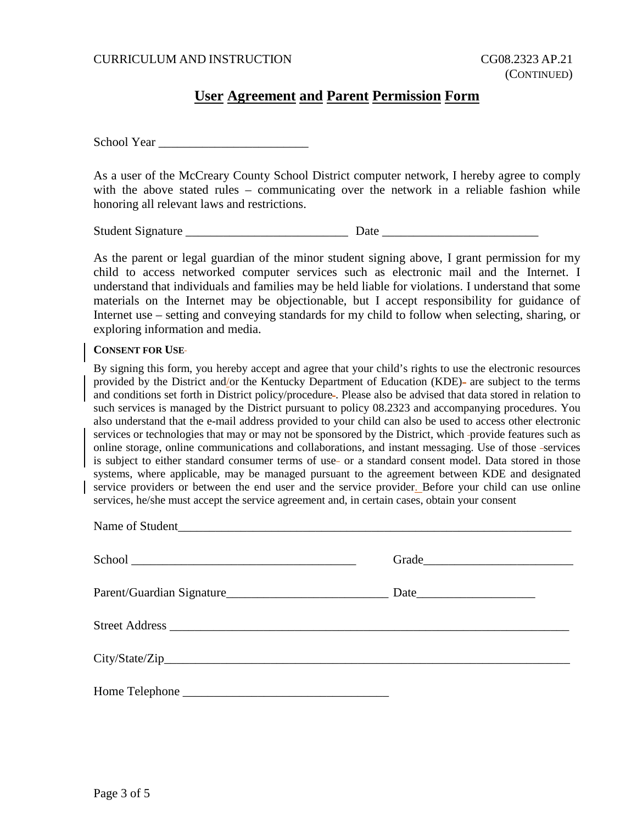### CURRICULUM AND INSTRUCTION CG08.2323 AP.21

## **User Agreement and Parent Permission Form**

School Year

As a user of the McCreary County School District computer network, I hereby agree to comply with the above stated rules – communicating over the network in a reliable fashion while honoring all relevant laws and restrictions.

Student Signature \_\_\_\_\_\_\_\_\_\_\_\_\_\_\_\_\_\_\_\_\_\_\_\_\_\_ Date \_\_\_\_\_\_\_\_\_\_\_\_\_\_\_\_\_\_\_\_\_\_\_\_\_

As the parent or legal guardian of the minor student signing above, I grant permission for my child to access networked computer services such as electronic mail and the Internet. I understand that individuals and families may be held liable for violations. I understand that some materials on the Internet may be objectionable, but I accept responsibility for guidance of Internet use – setting and conveying standards for my child to follow when selecting, sharing, or exploring information and media.

#### **CONSENT FOR USE**

By signing this form, you hereby accept and agree that your child's rights to use the electronic resources provided by the District and/or the Kentucky Department of Education (KDE)- are subject to the terms and conditions set forth in District policy/procedure . Please also be advised that data stored in relation to such services is managed by the District pursuant to policy 08.2323 and accompanying procedures. You also understand that the e-mail address provided to your child can also be used to access other electronic services or technologies that may or may not be sponsored by the District, which -provide features such as online storage, online communications and collaborations, and instant messaging. Use of those services is subject to either standard consumer terms of use- or a standard consent model. Data stored in those systems, where applicable, may be managed pursuant to the agreement between KDE and designated service providers or between the end user and the service provider. Before your child can use online services, he/she must accept the service agreement and, in certain cases, obtain your consent

| Grade |  |
|-------|--|
|       |  |
|       |  |
|       |  |
|       |  |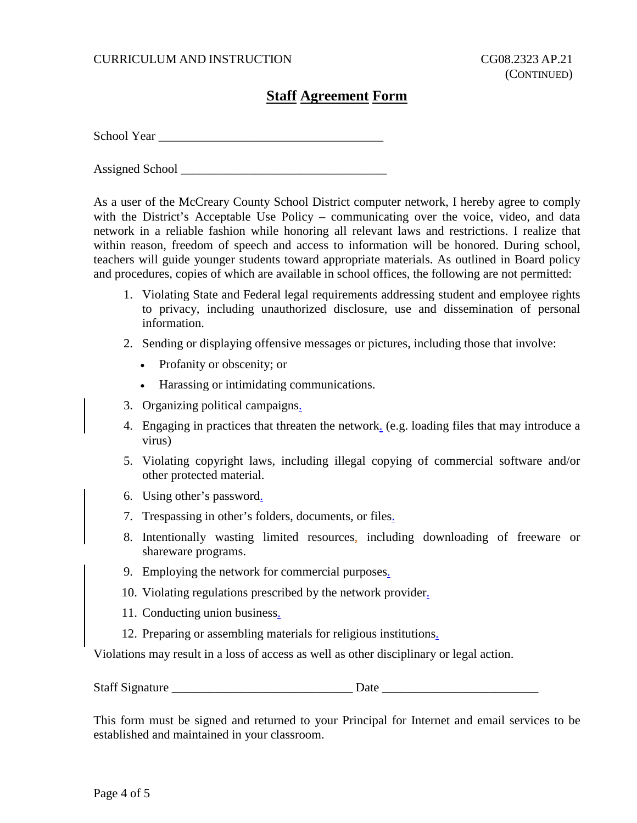## CURRICULUM AND INSTRUCTION CG08.2323 AP.21

# **Staff Agreement Form**

School Year

Assigned School \_\_\_\_\_\_\_\_\_\_\_\_\_\_\_\_\_\_\_\_\_\_\_\_\_\_\_\_\_\_\_\_\_

As a user of the McCreary County School District computer network, I hereby agree to comply with the District's Acceptable Use Policy – communicating over the voice, video, and data network in a reliable fashion while honoring all relevant laws and restrictions. I realize that within reason, freedom of speech and access to information will be honored. During school, teachers will guide younger students toward appropriate materials. As outlined in Board policy and procedures, copies of which are available in school offices, the following are not permitted:

- 1. Violating State and Federal legal requirements addressing student and employee rights to privacy, including unauthorized disclosure, use and dissemination of personal information.
- 2. Sending or displaying offensive messages or pictures, including those that involve:
	- Profanity or obscenity; or
	- Harassing or intimidating communications.
- 3. Organizing political campaigns.
- 4. Engaging in practices that threaten the network. (e.g. loading files that may introduce a virus)
- 5. Violating copyright laws, including illegal copying of commercial software and/or other protected material.
- 6. Using other's password.
- 7. Trespassing in other's folders, documents, or files.
- 8. Intentionally wasting limited resources, including downloading of freeware or shareware programs.
- 9. Employing the network for commercial purposes.
- 10. Violating regulations prescribed by the network provider.
- 11. Conducting union business.
- 12. Preparing or assembling materials for religious institutions.

Violations may result in a loss of access as well as other disciplinary or legal action.

| <b>Staff Signature</b> |  |  |
|------------------------|--|--|
|                        |  |  |

This form must be signed and returned to your Principal for Internet and email services to be established and maintained in your classroom.